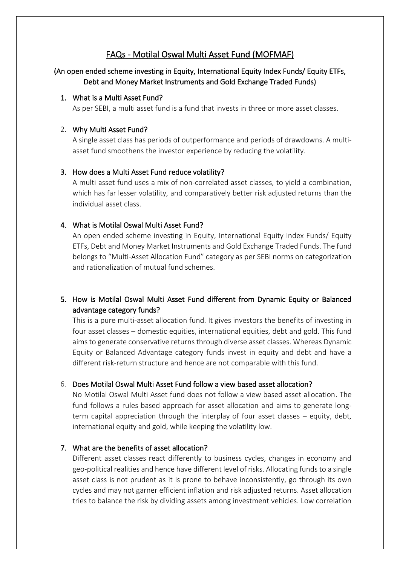# FAQs - Motilal Oswal Multi Asset Fund (MOFMAF)

# (An open ended scheme investing in Equity, International Equity Index Funds/ Equity ETFs, Debt and Money Market Instruments and Gold Exchange Traded Funds)

### 1. What is a Multi Asset Fund?

As per SEBI, a multi asset fund is a fund that invests in three or more asset classes.

#### 2. Why Multi Asset Fund?

A single asset class has periods of outperformance and periods of drawdowns. A multiasset fund smoothens the investor experience by reducing the volatility.

### 3. How does a Multi Asset Fund reduce volatility?

A multi asset fund uses a mix of non-correlated asset classes, to yield a combination, which has far lesser volatility, and comparatively better risk adjusted returns than the individual asset class.

### 4. What is Motilal Oswal Multi Asset Fund?

An open ended scheme investing in Equity, International Equity Index Funds/ Equity ETFs, Debt and Money Market Instruments and Gold Exchange Traded Funds. The fund belongs to "Multi-Asset Allocation Fund" category as per SEBI norms on categorization and rationalization of mutual fund schemes.

# 5. How is Motilal Oswal Multi Asset Fund different from Dynamic Equity or Balanced advantage category funds?

This is a pure multi-asset allocation fund. It gives investors the benefits of investing in four asset classes – domestic equities, international equities, debt and gold. This fund aims to generate conservative returns through diverse asset classes. Whereas Dynamic Equity or Balanced Advantage category funds invest in equity and debt and have a different risk-return structure and hence are not comparable with this fund.

### 6. Does Motilal Oswal Multi Asset Fund follow a view based asset allocation?

No Motilal Oswal Multi Asset fund does not follow a view based asset allocation. The fund follows a rules based approach for asset allocation and aims to generate longterm capital appreciation through the interplay of four asset classes – equity, debt, international equity and gold, while keeping the volatility low.

### 7. What are the benefits of asset allocation?

Different asset classes react differently to business cycles, changes in economy and geo-political realities and hence have different level of risks. Allocating funds to a single asset class is not prudent as it is prone to behave inconsistently, go through its own cycles and may not garner efficient inflation and risk adjusted returns. Asset allocation tries to balance the risk by dividing assets among investment vehicles. Low correlation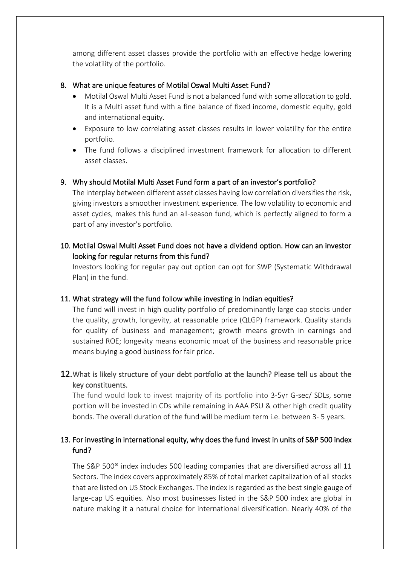among different asset classes provide the portfolio with an effective hedge lowering the volatility of the portfolio.

## 8. What are unique features of Motilal Oswal Multi Asset Fund?

- Motilal Oswal Multi Asset Fund is not a balanced fund with some allocation to gold. It is a Multi asset fund with a fine balance of fixed income, domestic equity, gold and international equity.
- Exposure to low correlating asset classes results in lower volatility for the entire portfolio.
- The fund follows a disciplined investment framework for allocation to different asset classes.

## 9. Why should Motilal Multi Asset Fund form a part of an investor's portfolio?

The interplay between different asset classes having low correlation diversifies the risk, giving investors a smoother investment experience. The low volatility to economic and asset cycles, makes this fund an all-season fund, which is perfectly aligned to form a part of any investor's portfolio.

# 10. Motilal Oswal Multi Asset Fund does not have a dividend option. How can an investor looking for regular returns from this fund?

Investors looking for regular pay out option can opt for SWP (Systematic Withdrawal Plan) in the fund.

### 11. What strategy will the fund follow while investing in Indian equities?

The fund will invest in high quality portfolio of predominantly large cap stocks under the quality, growth, longevity, at reasonable price (QLGP) framework. Quality stands for quality of business and management; growth means growth in earnings and sustained ROE; longevity means economic moat of the business and reasonable price means buying a good business for fair price.

12.What is likely structure of your debt portfolio at the launch? Please tell us about the key constituents.

The fund would look to invest majority of its portfolio into 3-5yr G-sec/ SDLs, some portion will be invested in CDs while remaining in AAA PSU & other high credit quality bonds. The overall duration of the fund will be medium term i.e. between 3- 5 years.

# 13. For investing in international equity, why does the fund invest in units of S&P 500 index fund?

The S&P 500® index includes 500 leading companies that are diversified across all 11 Sectors. The index covers approximately 85% of total market capitalization of all stocks that are listed on US Stock Exchanges. The index is regarded as the best single gauge of large-cap US equities. Also most businesses listed in the S&P 500 index are global in nature making it a natural choice for international diversification. Nearly 40% of the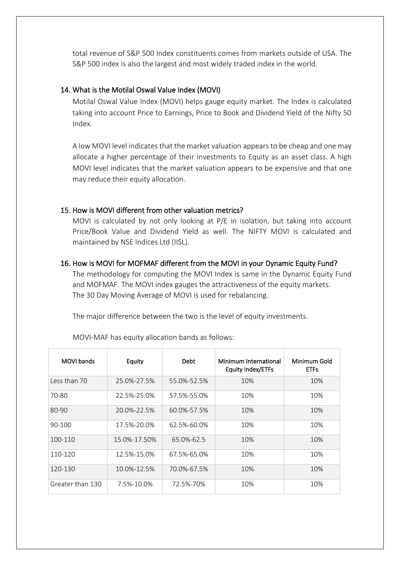total revenue of S&P 500 Index constituents comes from markets outside of USA. The S&P 500 index is also the largest and most widely traded index in the world.

### 14. What is the Motilal Oswal Value Index (MOVI)

Motilal Oswal Value Index (MOVI) helps gauge equity market. The Index is calculated taking into account Price to Earnings, Price to Book and Dividend Yield of the Nifty 50 Index.

A low MOVI level indicates that the market valuation appears to be cheap and one may allocate a higher percentage of their investments to Equity as an asset class. A high MOVI level indicates that the market valuation appears to be expensive and that one may reduce their equity allocation.

#### 15. How is MOVI different from other valuation metrics?

MOVI is calculated by not only looking at P/E in isolation, but taking into account Price/Book Value and Dividend Yield as well. The NIFTY MOVI is calculated and maintained by NSE Indices Ltd (IISL).

#### 16. How is MOVI for MOFMAF different from the MOVI in your Dynamic Equity Fund?

The methodology for computing the MOVI Index is same in the Dynamic Equity Fund and MOFMAF. The MOVI index gauges the attractiveness of the equity markets. The 30 Day Moving Average of MOVI is used for rebalancing.

The major difference between the two is the level of equity investments.

| MOVI bands       | Equity       | Debt            | Minimum International<br><b>Equity Index/ETFs</b> | Minimum Gold<br><b>ETFs</b> |
|------------------|--------------|-----------------|---------------------------------------------------|-----------------------------|
| Less than 70     | 25.0%-27.5%  | 55.0%-52.5%     | 10%                                               | 10%                         |
| 70-80            | 22.5%-25.0%  | 57.5%-55.0%     | 10%                                               | 10%                         |
| 80-90            | 20.0%-22.5%  | 60.0%-57.5%     | 10%                                               | 10%                         |
| $90 - 100$       | 17.5%-20.0%  | 62.5%-60.0%     | 10%                                               | 10%                         |
| $100 - 110$      | 15.0%-17.50% | $65.0\% - 62.5$ | 10%                                               | 10%                         |
| 110-120          | 12.5%-15.0%  | 67.5%-65.0%     | 10%                                               | 10%                         |
| 120-130          | 10.0%-12.5%  | 70.0%-67.5%     | 10%                                               | 10%                         |
| Greater than 130 | 7.5%-10.0%   | 72.5%-70%       | 10%                                               | 10%                         |

MOVI-MAF has equity allocation bands as follows: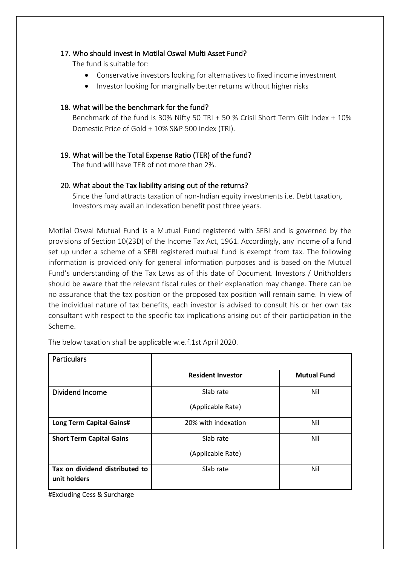## 17. Who should invest in Motilal Oswal Multi Asset Fund?

The fund is suitable for:

- Conservative investors looking for alternatives to fixed income investment
- Investor looking for marginally better returns without higher risks

## 18. What will be the benchmark for the fund?

Benchmark of the fund is 30% Nifty 50 TRI + 50 % Crisil Short Term Gilt Index + 10% Domestic Price of Gold + 10% S&P 500 Index (TRI).

# 19. What will be the Total Expense Ratio (TER) of the fund?

The fund will have TER of not more than 2%.

# 20. What about the Tax liability arising out of the returns?

Since the fund attracts taxation of non-Indian equity investments i.e. Debt taxation, Investors may avail an Indexation benefit post three years.

Motilal Oswal Mutual Fund is a Mutual Fund registered with SEBI and is governed by the provisions of Section 10(23D) of the Income Tax Act, 1961. Accordingly, any income of a fund set up under a scheme of a SEBI registered mutual fund is exempt from tax. The following information is provided only for general information purposes and is based on the Mutual Fund's understanding of the Tax Laws as of this date of Document. Investors / Unitholders should be aware that the relevant fiscal rules or their explanation may change. There can be no assurance that the tax position or the proposed tax position will remain same. In view of the individual nature of tax benefits, each investor is advised to consult his or her own tax consultant with respect to the specific tax implications arising out of their participation in the Scheme.

The below taxation shall be applicable w.e.f.1st April 2020.

| <b>Particulars</b>                             |                          |                    |  |
|------------------------------------------------|--------------------------|--------------------|--|
|                                                | <b>Resident Investor</b> | <b>Mutual Fund</b> |  |
| Dividend Income                                | Slab rate                | Nil                |  |
|                                                | (Applicable Rate)        |                    |  |
| <b>Long Term Capital Gains#</b>                | 20% with indexation      | Nil                |  |
| <b>Short Term Capital Gains</b>                | Slab rate                | Nil                |  |
|                                                | (Applicable Rate)        |                    |  |
| Tax on dividend distributed to<br>unit holders | Slab rate                | Nil                |  |

#Excluding Cess & Surcharge